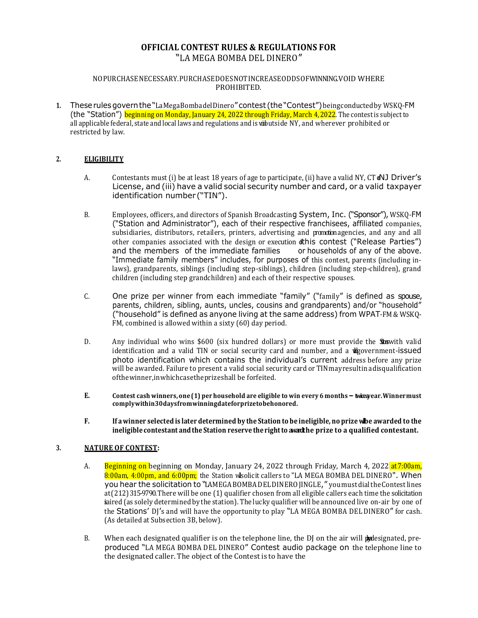# **OFFICIAL CONTEST RULES & REGULATIONS FOR** "LA MEGA BOMBA DEL DINERO"

#### NOPURCHASENECESSARY.PURCHASEDOESNOTINCREASEODDSOFWINNING. VOID WHERE PROHIBITED.

**1.** Theserulesgovernthe"LaMegaBombadelDinero"contest (the"Contest")beingconductedby WSKQ-FM (the "Station") beginning on Monday, January 24, 2022 through Friday, March 4, 2022. The contest is subject to all applicable federal, state and local laws and regulations and is wibutside NY, and wherever prohibited or restricted by law.

# **2. ELIGIBILITY**

- A. Contestants must (i) be at least 18 years of age to participate, (ii) have a valid NY,  $CT dNJ$  Driver's License, and (iii) have a valid social security number and card, or a valid taxpayer identification number ("TIN").
- B. Employees, officers, and directors of Spanish Broadcasting System, Inc. ("Sponsor"), WSKQ-FM ("Station and Administrator"), each of their respective franchisees, affiliated companies, subsidiaries, distributors, retailers, printers, advertising and promotion agencies, and any and all other companies associated with the design or execution dthis contest ("Release Parties")<br>and the members of the immediate families or households of any of the above. and the members of the immediate families "Immediate family members" includes, for purposes of this contest, parents (including inlaws), grandparents, siblings (including step-siblings), children (including step-children), grand children (including step grandchildren) and each of their respective spouses.
- C. One prize per winner from each immediate "family" ("family" is defined as spouse, parents, children, sibling, aunts, uncles, cousins and grandparents) and/or "household" ("household" is defined as anyone living at the same address) from WPAT-FM & WSKQ-FM, combined is allowed within a sixty (60) day period.
- D. Any individual who wins  $$600$  (six hundred dollars) or more must provide the **So**swith valid identification and a valid TIN or social security card and number, and a **vilgovernment-issued** photo identification which contains the individual's current address before any prize will be awarded. Failure to present a valid social security card or TINmayresultinadisqualification ofthewinner,inwhichcasetheprizeshall be forfeited.
- E. Contest cash winners, one (1) per household are eligible to win every 6 months twice year. Winnermust **complywithin30daysfromwinningdateforprizetobehonored.**
- F. If a winner selected is later determined by the Station to be ineligible, no prize whe awarded to the **ineligible contestant andthe Station reserve therightto award the prize to a qualified contestant.**

### **3. NATURE OF CONTEST:**

- A. Beginning on beginning on Monday, January 24, 2022 through Friday, March 4, 2022 at 7:00am, 8:00am, 4:00pm, and 6:00pm; the Station wisolicit callers to "LA MEGA BOMBA DEL DINERO". When you hear the solicitation to "LAMEGA BOMBADEL DINERO JINGLE," you must dialthe Contest lines at(212)315-9790. There will be one (1) qualifier chosen from all eligible callers each time the solicitation isaired (as solely determined by the station). The lucky qualifier will be announced live on-air by one of the Stations' DJ's and will have the opportunity to play "LA MEGA BOMBA DEL DINERO" for cash. (As detailed at Subsection 3B, below).
- B. When each designated qualifier is on the telephone line, the  $D$  on the air will  $\phi$  designated, preproduced "LA MEGA BOMBA DEL DINERO" Contest audio package on the telephone line to the designated caller. The object of the Contest is to have the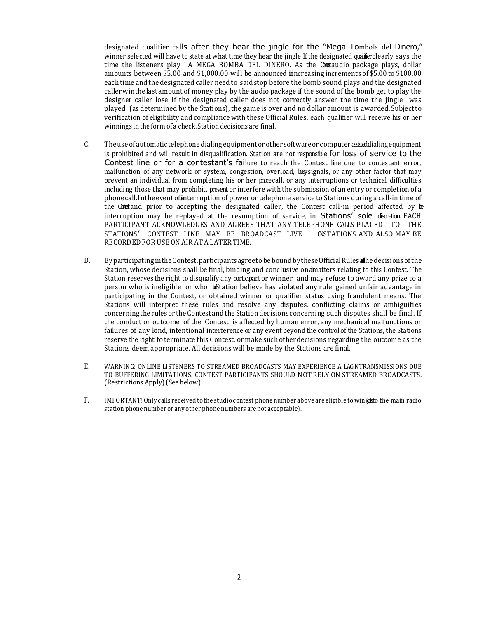designated qualifier calls after they hear the jingle for the "Mega Tombola del Dinero," winner selected will have to state at what time they hear the jingle If the designated qualifier clearly says the time the listeners play LA MEGA BOMBA DEL DINERO. As the Cotaudio package plays, dollar amounts between \$5.00 and \$1,000.00 will be announced inincreasing increments of \$5.00 to \$100.00 eachtime and the designated caller needto saidstop before the bomb sound plays and the designated callerwinthelast amount of money play by the audio package if the sound of the bomb get to play the designer caller lose If the designated caller does not correctly answer the time the jingle was played (as determined by the Stations), the game is over and no dollar amount is awarded. Subjectto verification of eligibility and compliance with these Official Rules, each qualifier will receive his or her winnings in the form of a check. Station decisions are final.

- C. The use of automatic telephone dialing equipment or other software or computer assisted dialing equipment is prohibited and will result in disqualification. Station are not responsible for loss of service to the Contest line or for a contestant's failure to reach the Contest line due to contestant error, malfunction of any network or system, congestion, overload, busignals, or any other factor that may prevent an individual from completing his or her phone call, or any interruptions or technical difficulties including those that may prohibit, prevent, or interfere with the submission of an entry or completion of a phone call. In the event of interruption of power or telephone service to Stations during a call-in time of the Context and prior to accepting the designated caller, the Contest call-in period affected by  $\mathbf{t}$ interruption may be replayed at the resumption of service, in Stations' sole discretion. EACH PARTICIPANT ACKNOWLEDGES AND AGREES THAT ANY TELEPHONE CALLS PLACED TO THE STATIONS' CONTEST LINE MAY BE BROADCAST LIVE ONSTATIONS AND ALSO MAY BE RECORDED FOR USEON AIR AT A LATER TIME.
- D. By participating in the Contest, participants agree to be bound by these Official Rules alle decisions of the Station, whose decisions shall be final, binding and conclusive on dmatters relating to this Contest. The Station reserves the right to disqualify any participant or winner and may refuse to award any prize to a person who is ineligible or who **the**Station believe has violated any rule, gained unfair advantage in participating in the Contest, or obtained winner or qualifier status using fraudulent means. The Stations will interpret these rules and resolve any disputes, conflicting claims or ambiguities concerningthe rules or theContest andthe Station decisions concerning such disputes shall be final. If the conduct or outcome of the Contest is affected by human error, any mechanical malfunctions or failures of any kind, intentional interference or any event beyond the control of the Stations, the Stations reserve the right to terminate this Contest, or make such otherdecisions regarding the outcome as the Stations deem appropriate. All decisions will be made by the Stations are final.
- E. WARNING: ONLINE LISTENERS TO STREAMED BROADCASTS MAY EXPERIENCE A LAGNTRANSMISSIONS DUE TO BUFFERING LIMITATIONS. CONTEST PARTICIPANTS SHOULD NOT RELY ON STREAMED BROADCASTS. (Restrictions Apply)(See below).
- F. IMPORTANT! Only calls received to the studio contest phone number above are eligible to win (cato the main radio station phone number or any other phone numbers are not acceptable).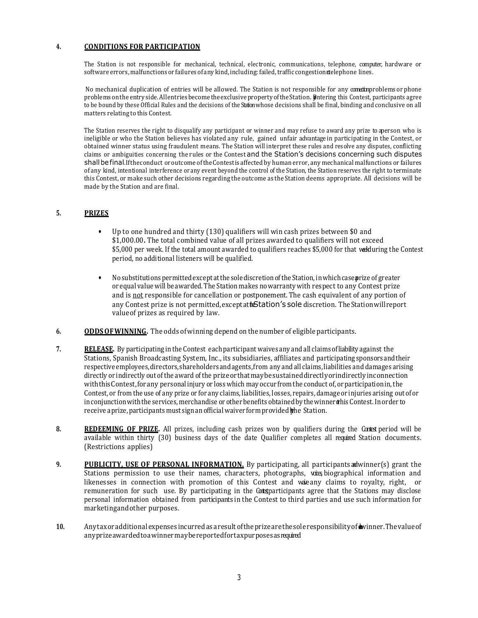## **4. CONDITIONS FOR PARTICIPATION**

The Station is not responsible for mechanical, technical, electronic, communications, telephone, computer, hardware or software errors, malfunctions or failures of any kind, including: failed, traffic congestion **d**elephone lines.

No mechanical duplication of entries will be allowed. The Station is not responsible for any constitution problems or phone problems on the entryside. Allentries become the exclusive property of the Station. Butering this Contest, participants agree to be bound by these Official Rules and the decisions of the Station whose decisions shall be final, binding and conclusive on all matters relating to this Contest.

The Station reserves the right to disqualify any participant or winner and may refuse to award any prize to aperson who is ineligible or who the Station believes has violated any rule, gained unfair advantage in participating in the Contest, or obtained winner status using fraudulent means. The Station will interpret these rules and resolve any disputes, conflicting claims or ambiguities concerning the rules or the Contest and the Station's decisions concerning such disputes shall be final.If the conduct or outcome of the Contest is affected by human error, any mechanical malfunctions or failures of any kind, intentional interference or any event beyond the control of the Station, the Station reserves the right to terminate this Contest, or make such other decisions regarding the outcome as the Station deems appropriate. All decisions will be made by the Station and are final.

# **5. PRIZES**

- Up to one hundred and thirty (130) qualifiers will win cash prizes between \$0 and \$1,000.00**.** The total combined value of all prizes awarded to qualifiers will not exceed \$5,000 per week. If the total amount awarded to qualifiers reaches \$5,000 for that welduring the Contest period, no additional listeners will be qualified.
- Nosubstitutions permitted except at the sole discretion of the Station, in which case parize of greater or equal value will be awarded. The Station makes nowarranty with respect to any Contest prize and is not responsible for cancellation or postponement. The cash equivalent of any portion of any Contest prize is not permitted, exceptatt**i**Station's sole discretion. The Stationwill report valueof prizes as required by law.
- **6. ODDSOFWINNING.** The odds ofwinning depend on the number of eligible participants.
- **7. RELEASE.** By participating in the Contest each participant waives any and all claims of liability against the Stations, Spanish Broadcasting System, Inc., its subsidiaries, affiliates and participatingsponsorsandtheir respective employees,directors,shareholdersandagents,from any and all claims, liabilities and damages arising directly or indirectly out of the award ofthe prizeorthatmaybesustaineddirectlyorindirectlyinconnection with this Contest, for any personal injury or loss which may occur from the conduct of, or participation in, the Contest, or from the use of any prize or for any claims, liabilities, losses, repairs, damage or injuries arising out of or in conjunction with the services, merchandise or other benefits obtained by the winner this Contest. In order to receive a prize, participants must sign an official waiver form provided whe Station.
- 8. **REDEEMING OF PRIZE.** All prizes, including cash prizes won by qualifiers during the Contest period will be available within thirty (30) business days of the date Qualifier completes all required Station documents. (Restrictions applies)
- **9. PUBLICITY, USE OF PERSONAL INFORMATION.** By participating, all participants andwinner(s) grant the Stations permission to use their names, characters, photographs, voices biographical information and likenesses in connection with promotion of this Contest and waie any claims to royalty, right, or remuneration for such use. By participating in the Contesparticipants agree that the Stations may disclose personal information obtained from participants in the Contest to third parties and use such information for marketingandother purposes.
- 10. Anytaxor additional expenses incurred as a result of the prize are the sole responsibility of wyinner. The value of anyprizeawardedtoawinnermaybereportedfortaxpurposesasrequired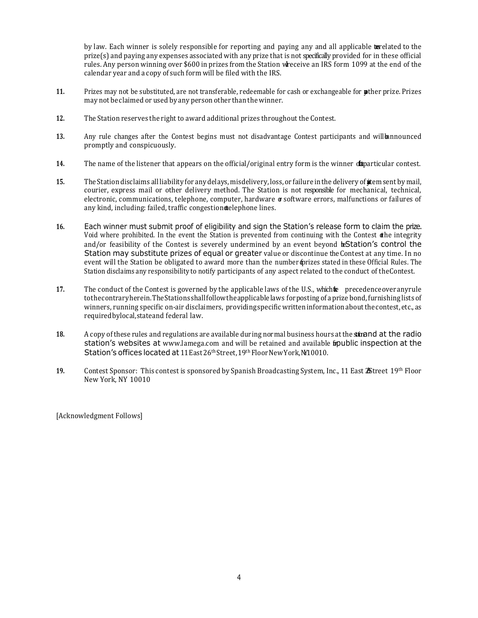by law. Each winner is solely responsible for reporting and paying any and all applicable **ta** related to the prize(s) and paying any expenses associated with any prize that is not specifically provided for in these official rules. Any person winning over \$600 in prizes from the Station wheceive an IRS form 1099 at the end of the calendar year and a copy of such form will be filed with the IRS.

- **11.** Prizes may not be substituted, are not transferable, redeemable for cash or exchangeable for **p**ther prize. Prizes may not be claimed or used by any person other thanthe winner.
- **12.** The Station reserves the right to award additional prizes throughout the Contest.
- **13.** Any rule changes after the Contest begins must not disadvantage Contest participants and will be announced promptly and conspicuously.
- 14. The name of the listener that appears on the official/original entry form is the winner **daparticular contest.**
- **15.** The Station disclaims all liability for any delays, misdelivery, loss, or failure in the delivery of **a**tem sent by mail, courier, express mail or other delivery method. The Station is not responsible for mechanical, technical, electronic, communications, telephone, computer, hardware or software errors, malfunctions or failures of any kind, including: failed, traffic congestion delephone lines.
- **16.** Each winner must submit proof of eligibility and sign the Station's release form to claim the prize. Void where prohibited. In the event the Station is prevented from continuing with the Contest  $\phi$  the integrity and/or feasibility of the Contest is severely undermined by an event beyond bestation's control the Station may substitute prizes of equal or greater value or discontinue the Contest at any time. In no event will the Station be obligated to award more than the number oprizes stated in these Official Rules. The Station disclaims any responsibility to notify participants of any aspect related to the conduct of theContest.
- 17. The conduct of the Contest is governed by the applicable laws of the U.S., which the precedence over any rule tothecontraryherein.TheStationsshallfollowtheapplicablelaws forposting of a prize bond,furnishinglists of winners, running specific on-air disclaimers, providing specific writteninformationaboutthecontest, etc., as requiredbylocal,stateand federal law.
- **18.** A copy of these rules and regulations are available during normal business hours at the stational at the radio station's websites at [www.lamega.com](http://www.lamega.com/) and will be retained and available fipublic inspection at the Station's offices located at 11 East 26<sup>th</sup> Street, 19<sup>th</sup> Floor New York, M10010.
- 19. Contest Sponsor: This contest is sponsored by Spanish Broadcasting System, Inc., 11 East **25**treet 19th Floor New York, NY 10010

[Acknowledgment Follows]